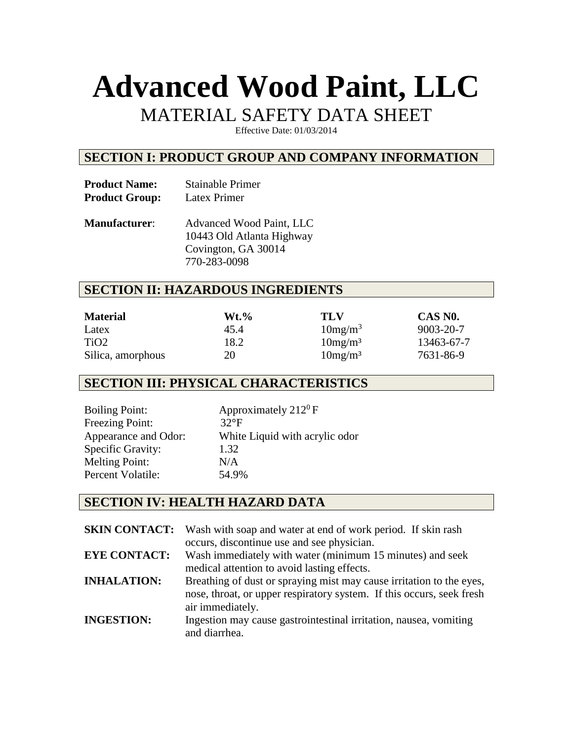# **Advanced Wood Paint, LLC**

# MATERIAL SAFETY DATA SHEET

Effective Date: 01/03/2014

#### **SECTION I: PRODUCT GROUP AND COMPANY INFORMATION**

| <b>Product Name:</b>  | <b>Stainable Primer</b> |
|-----------------------|-------------------------|
| <b>Product Group:</b> | Latex Primer            |

**Manufacturer**: Advanced Wood Paint, LLC 10443 Old Atlanta Highway Covington, GA 30014 770-283-0098

#### **SECTION II: HAZARDOUS INGREDIENTS**

| <b>Material</b>   | Wt.% | TLV                 | CAS NO.    |
|-------------------|------|---------------------|------------|
| Latex             | 45.4 | 10mg/m <sup>3</sup> | 9003-20-7  |
| TiO <sub>2</sub>  | 18.2 | 10mg/m <sup>3</sup> | 13463-67-7 |
| Silica, amorphous | 20   | 10mg/m <sup>3</sup> | 7631-86-9  |

## **SECTION III: PHYSICAL CHARACTERISTICS**

Boiling Point:  $\Delta$  Approximately 212<sup>0</sup> F Freezing Point: 32°F Appearance and Odor: White Liquid with acrylic odor Specific Gravity: 1.32 Melting Point: N/A Percent Volatile: 54.9%

#### **SECTION IV: HEALTH HAZARD DATA**

| <b>SKIN CONTACT:</b> | Wash with soap and water at end of work period. If skin rash<br>occurs, discontinue use and see physician.                                                        |
|----------------------|-------------------------------------------------------------------------------------------------------------------------------------------------------------------|
| <b>EYE CONTACT:</b>  | Wash immediately with water (minimum 15 minutes) and seek<br>medical attention to avoid lasting effects.                                                          |
| <b>INHALATION:</b>   | Breathing of dust or spraying mist may cause irritation to the eyes,<br>nose, throat, or upper respiratory system. If this occurs, seek fresh<br>air immediately. |
| <b>INGESTION:</b>    | Ingestion may cause gastrointestinal irritation, nausea, vomiting<br>and diarrhea.                                                                                |